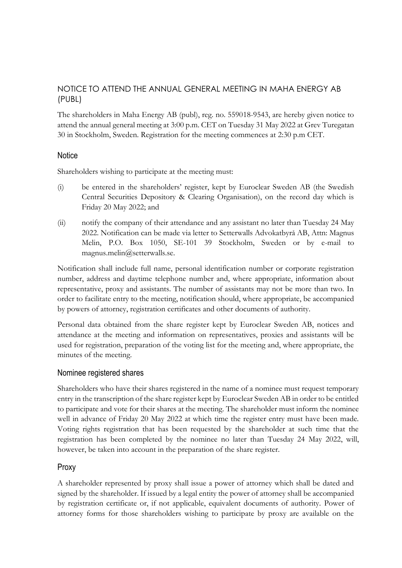# NOTICE TO ATTEND THE ANNUAL GENERAL MEETING IN MAHA ENERGY AB (PUBL)

The shareholders in Maha Energy AB (publ), reg. no. 559018-9543, are hereby given notice to attend the annual general meeting at 3:00 p.m. CET on Tuesday 31 May 2022 at Grev Turegatan 30 in Stockholm, Sweden. Registration for the meeting commences at 2:30 p.m CET.

# **Notice**

Shareholders wishing to participate at the meeting must:

- (i) be entered in the shareholders' register, kept by Euroclear Sweden AB (the Swedish Central Securities Depository & Clearing Organisation), on the record day which is Friday 20 May 2022; and
- (ii) notify the company of their attendance and any assistant no later than Tuesday 24 May 2022. Notification can be made via letter to Setterwalls Advokatbyrå AB, Attn: Magnus Melin, P.O. Box 1050, SE-101 39 Stockholm, Sweden or by e-mail to magnus.melin@setterwalls.se.

Notification shall include full name, personal identification number or corporate registration number, address and daytime telephone number and, where appropriate, information about representative, proxy and assistants. The number of assistants may not be more than two. In order to facilitate entry to the meeting, notification should, where appropriate, be accompanied by powers of attorney, registration certificates and other documents of authority.

Personal data obtained from the share register kept by Euroclear Sweden AB, notices and attendance at the meeting and information on representatives, proxies and assistants will be used for registration, preparation of the voting list for the meeting and, where appropriate, the minutes of the meeting.

# Nominee registered shares

Shareholders who have their shares registered in the name of a nominee must request temporary entry in the transcription of the share register kept by Euroclear Sweden AB in order to be entitled to participate and vote for their shares at the meeting. The shareholder must inform the nominee well in advance of Friday 20 May 2022 at which time the register entry must have been made. Voting rights registration that has been requested by the shareholder at such time that the registration has been completed by the nominee no later than Tuesday 24 May 2022, will, however, be taken into account in the preparation of the share register.

# Proxy

A shareholder represented by proxy shall issue a power of attorney which shall be dated and signed by the shareholder. If issued by a legal entity the power of attorney shall be accompanied by registration certificate or, if not applicable, equivalent documents of authority. Power of attorney forms for those shareholders wishing to participate by proxy are available on the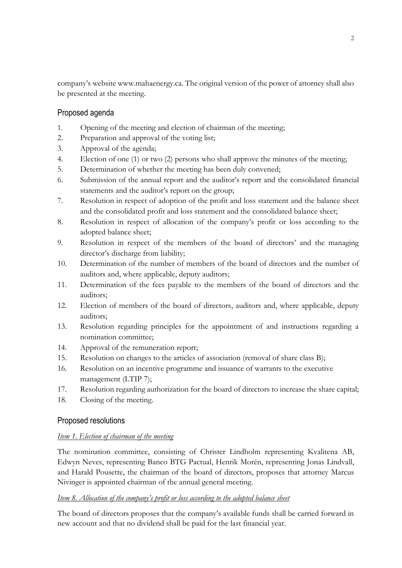company's website www.mahaenergy.ca. The original version of the power of attorney shall also be presented at the meeting.

# Proposed agenda

- 1. Opening of the meeting and election of chairman of the meeting;
- 2. Preparation and approval of the voting list;
- 3. Approval of the agenda;
- 4. Election of one (1) or two (2) persons who shall approve the minutes of the meeting;
- 5. Determination of whether the meeting has been duly convened;
- 6. Submission of the annual report and the auditor's report and the consolidated financial statements and the auditor's report on the group;
- 7. Resolution in respect of adoption of the profit and loss statement and the balance sheet and the consolidated profit and loss statement and the consolidated balance sheet;
- 8. Resolution in respect of allocation of the company's profit or loss according to the adopted balance sheet;
- 9. Resolution in respect of the members of the board of directors' and the managing director's discharge from liability;
- 10. Determination of the number of members of the board of directors and the number of auditors and, where applicable, deputy auditors;
- 11. Determination of the fees payable to the members of the board of directors and the auditors;
- 12. Election of members of the board of directors, auditors and, where applicable, deputy auditors;
- 13. Resolution regarding principles for the appointment of and instructions regarding a nomination committee;
- 14. Approval of the remuneration report;
- 15. Resolution on changes to the articles of association (removal of share class B);
- 16. Resolution on an incentive programme and issuance of warrants to the executive management (LTIP 7);
- 17. Resolution regarding authorization for the board of directors to increase the share capital;
- 18. Closing of the meeting.

# Proposed resolutions

### *Item 1. Election of chairman of the meeting*

The nomination committee, consisting of Christer Lindholm representing Kvalitena AB, Edwyn Neves, representing Banco BTG Pactual, Henrik Morén, representing Jonas Lindvall, and Harald Pousette, the chairman of the board of directors, proposes that attorney Marcus Nivinger is appointed chairman of the annual general meeting.

# *Item 8. Allocation of the company's profit or loss according to the adopted balance sheet*

The board of directors proposes that the company's available funds shall be carried forward in new account and that no dividend shall be paid for the last financial year.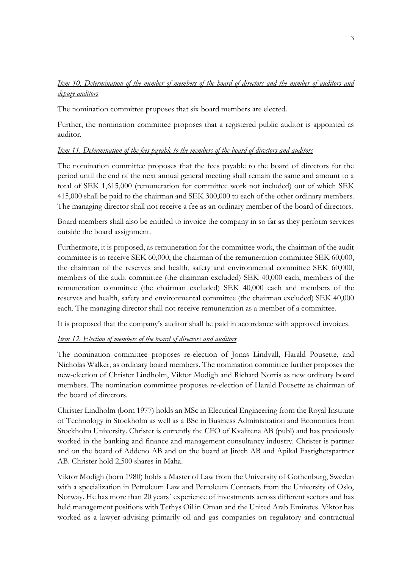# *Item 10. Determination of the number of members of the board of directors and the number of auditors and deputy auditors*

The nomination committee proposes that six board members are elected.

Further, the nomination committee proposes that a registered public auditor is appointed as auditor.

## *Item 11. Determination of the fees payable to the members of the board of directors and auditors*

The nomination committee proposes that the fees payable to the board of directors for the period until the end of the next annual general meeting shall remain the same and amount to a total of SEK 1,615,000 (remuneration for committee work not included) out of which SEK 415,000 shall be paid to the chairman and SEK 300,000 to each of the other ordinary members. The managing director shall not receive a fee as an ordinary member of the board of directors.

Board members shall also be entitled to invoice the company in so far as they perform services outside the board assignment.

Furthermore, it is proposed, as remuneration for the committee work, the chairman of the audit committee is to receive SEK 60,000, the chairman of the remuneration committee SEK 60,000, the chairman of the reserves and health, safety and environmental committee SEK 60,000, members of the audit committee (the chairman excluded) SEK 40,000 each, members of the remuneration committee (the chairman excluded) SEK 40,000 each and members of the reserves and health, safety and environmental committee (the chairman excluded) SEK 40,000 each. The managing director shall not receive remuneration as a member of a committee.

It is proposed that the company's auditor shall be paid in accordance with approved invoices.

# *Item 12. Election of members of the board of directors and auditors*

The nomination committee proposes re-election of Jonas Lindvall, Harald Pousette, and Nicholas Walker, as ordinary board members. The nomination committee further proposes the new-election of Christer Lindholm, Viktor Modigh and Richard Norris as new ordinary board members. The nomination committee proposes re-election of Harald Pousette as chairman of the board of directors.

Christer Lindholm (born 1977) holds an MSc in Electrical Engineering from the Royal Institute of Technology in Stockholm as well as a BSc in Business Administration and Economics from Stockholm University. Christer is currently the CFO of Kvalitena AB (publ) and has previously worked in the banking and finance and management consultancy industry. Christer is partner and on the board of Addeno AB and on the board at Jitech AB and Apikal Fastighetspartner AB. Christer hold 2,500 shares in Maha.

Viktor Modigh (born 1980) holds a Master of Law from the University of Gothenburg, Sweden with a specialization in Petroleum Law and Petroleum Contracts from the University of Oslo, Norway. He has more than 20 years´ experience of investments across different sectors and has held management positions with Tethys Oil in Oman and the United Arab Emirates. Viktor has worked as a lawyer advising primarily oil and gas companies on regulatory and contractual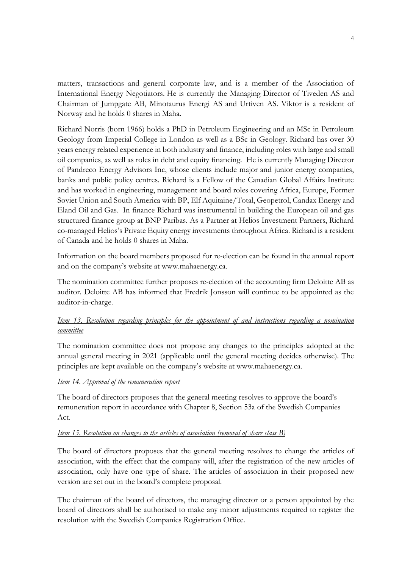matters, transactions and general corporate law, and is a member of the Association of International Energy Negotiators. He is currently the Managing Director of Tiveden AS and Chairman of Jumpgate AB, Minotaurus Energi AS and Urtiven AS. Viktor is a resident of Norway and he holds 0 shares in Maha.

Richard Norris (born 1966) holds a PhD in Petroleum Engineering and an MSc in Petroleum Geology from Imperial College in London as well as a BSc in Geology. Richard has over 30 years energy related experience in both industry and finance, including roles with large and small oil companies, as well as roles in debt and equity financing. He is currently Managing Director of Pandreco Energy Advisors Inc, whose clients include major and junior energy companies, banks and public policy centres. Richard is a Fellow of the Canadian Global Affairs Institute and has worked in engineering, management and board roles covering Africa, Europe, Former Soviet Union and South America with BP, Elf Aquitaine/Total, Geopetrol, Candax Energy and Eland Oil and Gas. In finance Richard was instrumental in building the European oil and gas structured finance group at BNP Paribas. As a Partner at Helios Investment Partners, Richard co-managed Helios's Private Equity energy investments throughout Africa. Richard is a resident of Canada and he holds 0 shares in Maha.

Information on the board members proposed for re-election can be found in the annual report and on the company's website at www.mahaenergy.ca.

The nomination committee further proposes re-election of the accounting firm Deloitte AB as auditor. Deloitte AB has informed that Fredrik Jonsson will continue to be appointed as the auditor-in-charge.

# *Item 13. Resolution regarding principles for the appointment of and instructions regarding a nomination committee*

The nomination committee does not propose any changes to the principles adopted at the annual general meeting in 2021 (applicable until the general meeting decides otherwise). The principles are kept available on the company's website at [www.mahaenergy.ca.](http://www.mahaenergy.ca/)

# *Item 14. Approval of the remuneration report*

The board of directors proposes that the general meeting resolves to approve the board's remuneration report in accordance with Chapter 8, Section 53a of the Swedish Companies Act.

# *Item 15. Resolution on changes to the articles of association (removal of share class B)*

The board of directors proposes that the general meeting resolves to change the articles of association, with the effect that the company will, after the registration of the new articles of association, only have one type of share. The articles of association in their proposed new version are set out in the board's complete proposal.

The chairman of the board of directors, the managing director or a person appointed by the board of directors shall be authorised to make any minor adjustments required to register the resolution with the Swedish Companies Registration Office.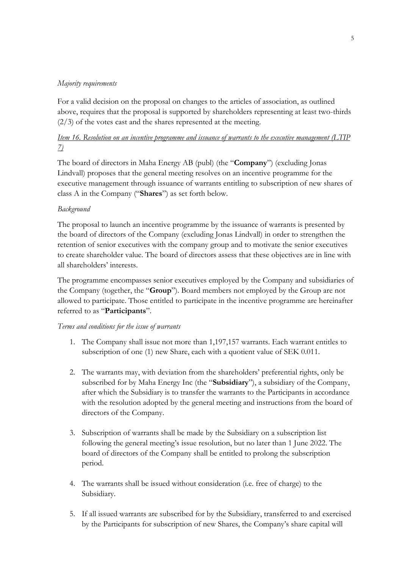## *Majority requirements*

For a valid decision on the proposal on changes to the articles of association, as outlined above, requires that the proposal is supported by shareholders representing at least two-thirds  $(2/3)$  of the votes cast and the shares represented at the meeting.

# *Item 16. Resolution on an incentive programme and issuance of warrants to the executive management (LTIP 7)*

The board of directors in Maha Energy AB (publ) (the "**Company**") (excluding Jonas Lindvall) proposes that the general meeting resolves on an incentive programme for the executive management through issuance of warrants entitling to subscription of new shares of class A in the Company ("**Shares**") as set forth below.

## *Background*

The proposal to launch an incentive programme by the issuance of warrants is presented by the board of directors of the Company (excluding Jonas Lindvall) in order to strengthen the retention of senior executives with the company group and to motivate the senior executives to create shareholder value. The board of directors assess that these objectives are in line with all shareholders' interests.

The programme encompasses senior executives employed by the Company and subsidiaries of the Company (together, the "**Group**"). Board members not employed by the Group are not allowed to participate. Those entitled to participate in the incentive programme are hereinafter referred to as "**Participants**".

### *Terms and conditions for the issue of warrants*

- 1. The Company shall issue not more than 1,197,157 warrants. Each warrant entitles to subscription of one (1) new Share, each with a quotient value of SEK 0.011.
- 2. The warrants may, with deviation from the shareholders' preferential rights, only be subscribed for by Maha Energy Inc (the "**Subsidiary**"), a subsidiary of the Company, after which the Subsidiary is to transfer the warrants to the Participants in accordance with the resolution adopted by the general meeting and instructions from the board of directors of the Company.
- 3. Subscription of warrants shall be made by the Subsidiary on a subscription list following the general meeting's issue resolution, but no later than 1 June 2022. The board of directors of the Company shall be entitled to prolong the subscription period.
- 4. The warrants shall be issued without consideration (i.e. free of charge) to the Subsidiary.
- 5. If all issued warrants are subscribed for by the Subsidiary, transferred to and exercised by the Participants for subscription of new Shares, the Company's share capital will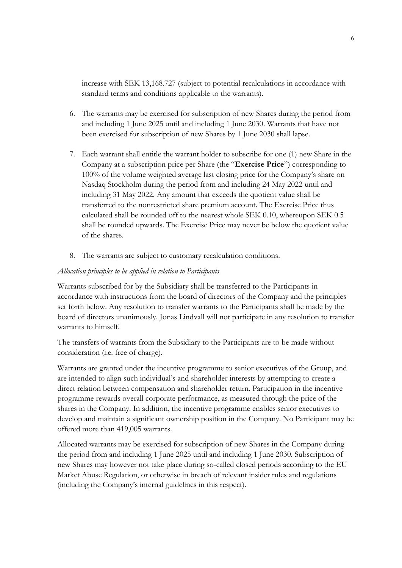increase with SEK 13,168.727 (subject to potential recalculations in accordance with standard terms and conditions applicable to the warrants).

- 6. The warrants may be exercised for subscription of new Shares during the period from and including 1 June 2025 until and including 1 June 2030. Warrants that have not been exercised for subscription of new Shares by 1 June 2030 shall lapse.
- 7. Each warrant shall entitle the warrant holder to subscribe for one (1) new Share in the Company at a subscription price per Share (the "**Exercise Price**") corresponding to 100% of the volume weighted average last closing price for the Company's share on Nasdaq Stockholm during the period from and including 24 May 2022 until and including 31 May 2022. Any amount that exceeds the quotient value shall be transferred to the nonrestricted share premium account. The Exercise Price thus calculated shall be rounded off to the nearest whole SEK 0.10, whereupon SEK 0.5 shall be rounded upwards. The Exercise Price may never be below the quotient value of the shares.
- 8. The warrants are subject to customary recalculation conditions.

#### *Allocation principles to be applied in relation to Participants*

Warrants subscribed for by the Subsidiary shall be transferred to the Participants in accordance with instructions from the board of directors of the Company and the principles set forth below. Any resolution to transfer warrants to the Participants shall be made by the board of directors unanimously. Jonas Lindvall will not participate in any resolution to transfer warrants to himself.

The transfers of warrants from the Subsidiary to the Participants are to be made without consideration (i.e. free of charge).

Warrants are granted under the incentive programme to senior executives of the Group, and are intended to align such individual's and shareholder interests by attempting to create a direct relation between compensation and shareholder return. Participation in the incentive programme rewards overall corporate performance, as measured through the price of the shares in the Company. In addition, the incentive programme enables senior executives to develop and maintain a significant ownership position in the Company. No Participant may be offered more than 419,005 warrants.

Allocated warrants may be exercised for subscription of new Shares in the Company during the period from and including 1 June 2025 until and including 1 June 2030. Subscription of new Shares may however not take place during so-called closed periods according to the EU Market Abuse Regulation, or otherwise in breach of relevant insider rules and regulations (including the Company's internal guidelines in this respect).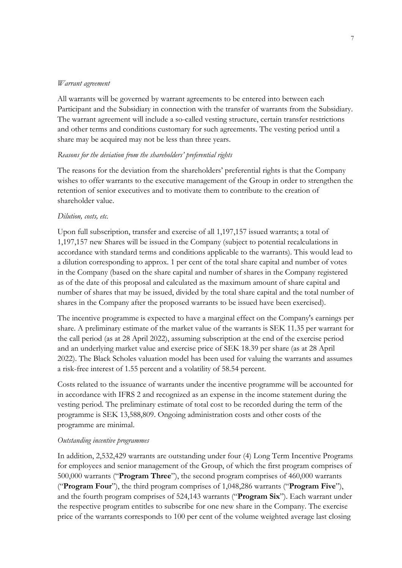#### *Warrant agreement*

All warrants will be governed by warrant agreements to be entered into between each Participant and the Subsidiary in connection with the transfer of warrants from the Subsidiary. The warrant agreement will include a so-called vesting structure, certain transfer restrictions and other terms and conditions customary for such agreements. The vesting period until a share may be acquired may not be less than three years.

#### *Reasons for the deviation from the shareholders' preferential rights*

The reasons for the deviation from the shareholders' preferential rights is that the Company wishes to offer warrants to the executive management of the Group in order to strengthen the retention of senior executives and to motivate them to contribute to the creation of shareholder value.

#### *Dilution, costs, etc.*

Upon full subscription, transfer and exercise of all 1,197,157 issued warrants; a total of 1,197,157 new Shares will be issued in the Company (subject to potential recalculations in accordance with standard terms and conditions applicable to the warrants). This would lead to a dilution corresponding to approx. 1 per cent of the total share capital and number of votes in the Company (based on the share capital and number of shares in the Company registered as of the date of this proposal and calculated as the maximum amount of share capital and number of shares that may be issued, divided by the total share capital and the total number of shares in the Company after the proposed warrants to be issued have been exercised).

The incentive programme is expected to have a marginal effect on the Company's earnings per share. A preliminary estimate of the market value of the warrants is SEK 11.35 per warrant for the call period (as at 28 April 2022), assuming subscription at the end of the exercise period and an underlying market value and exercise price of SEK 18.39 per share (as at 28 April 2022). The Black Scholes valuation model has been used for valuing the warrants and assumes a risk-free interest of 1.55 percent and a volatility of 58.54 percent.

Costs related to the issuance of warrants under the incentive programme will be accounted for in accordance with IFRS 2 and recognized as an expense in the income statement during the vesting period. The preliminary estimate of total cost to be recorded during the term of the programme is SEK 13,588,809. Ongoing administration costs and other costs of the programme are minimal.

#### *Outstanding incentive programmes*

In addition, 2,532,429 warrants are outstanding under four (4) Long Term Incentive Programs for employees and senior management of the Group, of which the first program comprises of 500,000 warrants ("**Program Three**"), the second program comprises of 460,000 warrants ("**Program Four**"), the third program comprises of 1,048,286 warrants ("**Program Five**"), and the fourth program comprises of 524,143 warrants ("**Program Six**"). Each warrant under the respective program entitles to subscribe for one new share in the Company. The exercise price of the warrants corresponds to 100 per cent of the volume weighted average last closing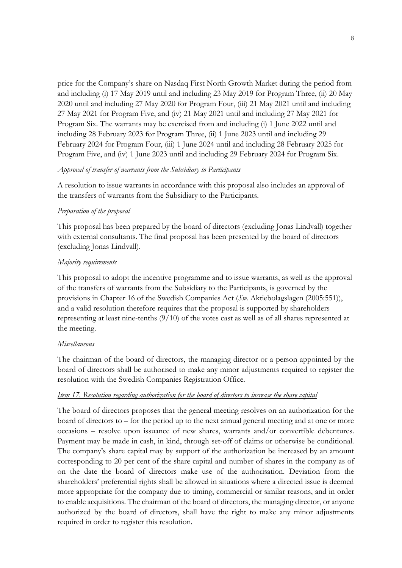price for the Company's share on Nasdaq First North Growth Market during the period from and including (i) 17 May 2019 until and including 23 May 2019 for Program Three, (ii) 20 May 2020 until and including 27 May 2020 for Program Four, (iii) 21 May 2021 until and including 27 May 2021 for Program Five, and (iv) 21 May 2021 until and including 27 May 2021 for Program Six. The warrants may be exercised from and including (i) 1 June 2022 until and including 28 February 2023 for Program Three, (ii) 1 June 2023 until and including 29 February 2024 for Program Four, (iii) 1 June 2024 until and including 28 February 2025 for Program Five, and (iv) 1 June 2023 until and including 29 February 2024 for Program Six.

### *Approval of transfer of warrants from the Subsidiary to Participants*

A resolution to issue warrants in accordance with this proposal also includes an approval of the transfers of warrants from the Subsidiary to the Participants.

### *Preparation of the proposal*

This proposal has been prepared by the board of directors (excluding Jonas Lindvall) together with external consultants. The final proposal has been presented by the board of directors (excluding Jonas Lindvall).

### *Majority requirements*

This proposal to adopt the incentive programme and to issue warrants, as well as the approval of the transfers of warrants from the Subsidiary to the Participants, is governed by the provisions in Chapter 16 of the Swedish Companies Act (*Sw.* Aktiebolagslagen (2005:551)), and a valid resolution therefore requires that the proposal is supported by shareholders representing at least nine-tenths (9/10) of the votes cast as well as of all shares represented at the meeting.

#### *Miscellaneous*

The chairman of the board of directors, the managing director or a person appointed by the board of directors shall be authorised to make any minor adjustments required to register the resolution with the Swedish Companies Registration Office.

#### *Item 17. Resolution regarding authorization for the board of directors to increase the share capital*

The board of directors proposes that the general meeting resolves on an authorization for the board of directors to – for the period up to the next annual general meeting and at one or more occasions – resolve upon issuance of new shares, warrants and/or convertible debentures. Payment may be made in cash, in kind, through set-off of claims or otherwise be conditional. The company's share capital may by support of the authorization be increased by an amount corresponding to 20 per cent of the share capital and number of shares in the company as of on the date the board of directors make use of the authorisation. Deviation from the shareholders' preferential rights shall be allowed in situations where a directed issue is deemed more appropriate for the company due to timing, commercial or similar reasons, and in order to enable acquisitions. The chairman of the board of directors, the managing director, or anyone authorized by the board of directors, shall have the right to make any minor adjustments required in order to register this resolution.